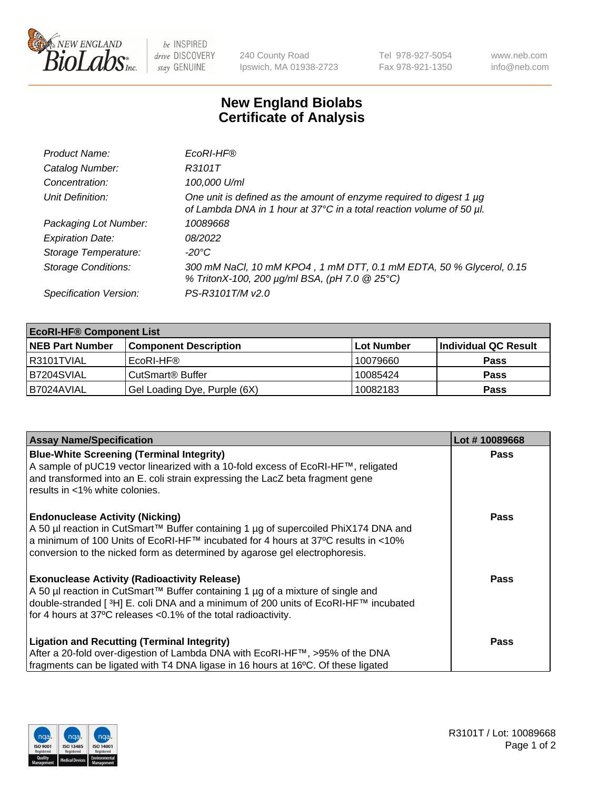

 $be$  INSPIRED drive DISCOVERY stay GENUINE

240 County Road Ipswich, MA 01938-2723 Tel 978-927-5054 Fax 978-921-1350 www.neb.com info@neb.com

## **New England Biolabs Certificate of Analysis**

| Product Name:              | EcoRI-HF®                                                                                                                                   |
|----------------------------|---------------------------------------------------------------------------------------------------------------------------------------------|
| Catalog Number:            | R3101T                                                                                                                                      |
| Concentration:             | 100,000 U/ml                                                                                                                                |
| Unit Definition:           | One unit is defined as the amount of enzyme required to digest 1 µg<br>of Lambda DNA in 1 hour at 37°C in a total reaction volume of 50 µl. |
| Packaging Lot Number:      | 10089668                                                                                                                                    |
| <b>Expiration Date:</b>    | 08/2022                                                                                                                                     |
| Storage Temperature:       | -20°C                                                                                                                                       |
| <b>Storage Conditions:</b> | 300 mM NaCl, 10 mM KPO4, 1 mM DTT, 0.1 mM EDTA, 50 % Glycerol, 0.15<br>% TritonX-100, 200 µg/ml BSA, (pH 7.0 @ 25°C)                        |
| Specification Version:     | PS-R3101T/M v2.0                                                                                                                            |

| <b>EcoRI-HF® Component List</b> |                              |                   |                      |  |  |
|---------------------------------|------------------------------|-------------------|----------------------|--|--|
| <b>NEB Part Number</b>          | <b>Component Description</b> | <b>Lot Number</b> | Individual QC Result |  |  |
| I R3101TVIAL                    | EcoRI-HF®                    | 10079660          | <b>Pass</b>          |  |  |
| B7204SVIAL                      | CutSmart <sup>®</sup> Buffer | 10085424          | <b>Pass</b>          |  |  |
| I B7024AVIAL                    | Gel Loading Dye, Purple (6X) | 10082183          | <b>Pass</b>          |  |  |

| <b>Assay Name/Specification</b>                                                                                                                                                                                                                                                                               | Lot #10089668 |
|---------------------------------------------------------------------------------------------------------------------------------------------------------------------------------------------------------------------------------------------------------------------------------------------------------------|---------------|
| <b>Blue-White Screening (Terminal Integrity)</b><br>A sample of pUC19 vector linearized with a 10-fold excess of EcoRI-HF™, religated<br>and transformed into an E. coli strain expressing the LacZ beta fragment gene<br>results in <1% white colonies.                                                      | <b>Pass</b>   |
| <b>Endonuclease Activity (Nicking)</b><br>A 50 µl reaction in CutSmart™ Buffer containing 1 µg of supercoiled PhiX174 DNA and<br>  a minimum of 100 Units of EcoRI-HF™ incubated for 4 hours at 37°C results in <10%<br>conversion to the nicked form as determined by agarose gel electrophoresis.           | <b>Pass</b>   |
| <b>Exonuclease Activity (Radioactivity Release)</b><br>  A 50 µl reaction in CutSmart™ Buffer containing 1 µg of a mixture of single and<br>double-stranded [ <sup>3</sup> H] E. coli DNA and a minimum of 200 units of EcoRI-HF™ incubated<br>for 4 hours at 37°C releases <0.1% of the total radioactivity. | Pass          |
| <b>Ligation and Recutting (Terminal Integrity)</b><br>After a 20-fold over-digestion of Lambda DNA with EcoRI-HF™, >95% of the DNA<br>fragments can be ligated with T4 DNA ligase in 16 hours at 16°C. Of these ligated                                                                                       | <b>Pass</b>   |